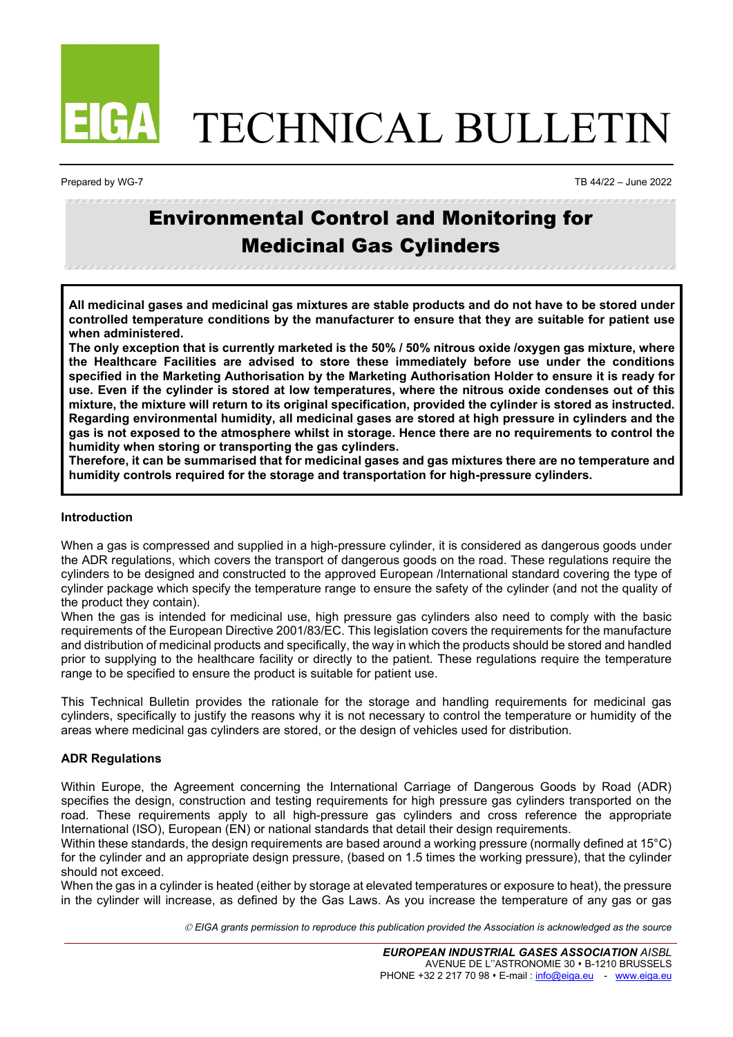

# TECHNICAL BULLETIN

Prepared by WG-7 TB 44/22 – June 2022

# Environmental Control and Monitoring for Medicinal Gas Cylinders

**All medicinal gases and medicinal gas mixtures are stable products and do not have to be stored under controlled temperature conditions by the manufacturer to ensure that they are suitable for patient use when administered.**

**The only exception that is currently marketed is the 50% / 50% nitrous oxide /oxygen gas mixture, where the Healthcare Facilities are advised to store these immediately before use under the conditions specified in the Marketing Authorisation by the Marketing Authorisation Holder to ensure it is ready for use. Even if the cylinder is stored at low temperatures, where the nitrous oxide condenses out of this mixture, the mixture will return to its original specification, provided the cylinder is stored as instructed. Regarding environmental humidity, all medicinal gases are stored at high pressure in cylinders and the gas is not exposed to the atmosphere whilst in storage. Hence there are no requirements to control the humidity when storing or transporting the gas cylinders.**

**Therefore, it can be summarised that for medicinal gases and gas mixtures there are no temperature and humidity controls required for the storage and transportation for high-pressure cylinders.**

### **Introduction**

When a gas is compressed and supplied in a high-pressure cylinder, it is considered as dangerous goods under the ADR regulations, which covers the transport of dangerous goods on the road. These regulations require the cylinders to be designed and constructed to the approved European /International standard covering the type of cylinder package which specify the temperature range to ensure the safety of the cylinder (and not the quality of the product they contain).

When the gas is intended for medicinal use, high pressure gas cylinders also need to comply with the basic requirements of the European Directive 2001/83/EC. This legislation covers the requirements for the manufacture and distribution of medicinal products and specifically, the way in which the products should be stored and handled prior to supplying to the healthcare facility or directly to the patient. These regulations require the temperature range to be specified to ensure the product is suitable for patient use.

This Technical Bulletin provides the rationale for the storage and handling requirements for medicinal gas cylinders, specifically to justify the reasons why it is not necessary to control the temperature or humidity of the areas where medicinal gas cylinders are stored, or the design of vehicles used for distribution.

## **ADR Regulations**

Within Europe, the Agreement concerning the International Carriage of Dangerous Goods by Road (ADR) specifies the design, construction and testing requirements for high pressure gas cylinders transported on the road. These requirements apply to all high-pressure gas cylinders and cross reference the appropriate International (ISO), European (EN) or national standards that detail their design requirements.

Within these standards, the design requirements are based around a working pressure (normally defined at 15°C) for the cylinder and an appropriate design pressure, (based on 1.5 times the working pressure), that the cylinder should not exceed.

When the gas in a cylinder is heated (either by storage at elevated temperatures or exposure to heat), the pressure in the cylinder will increase, as defined by the Gas Laws. As you increase the temperature of any gas or gas

*EIGA grants permission to reproduce this publication provided the Association is acknowledged as the source*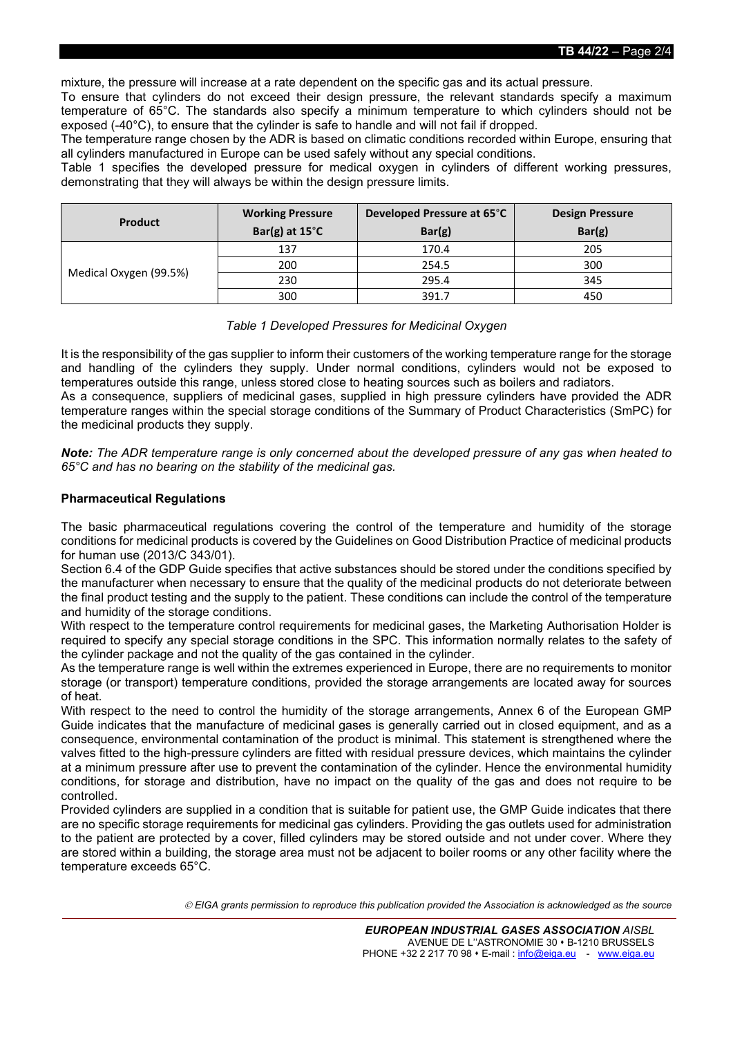**TB 44/22** – Page 2/4

mixture, the pressure will increase at a rate dependent on the specific gas and its actual pressure.

To ensure that cylinders do not exceed their design pressure, the relevant standards specify a maximum temperature of 65°C. The standards also specify a minimum temperature to which cylinders should not be exposed (-40°C), to ensure that the cylinder is safe to handle and will not fail if dropped.

The temperature range chosen by the ADR is based on climatic conditions recorded within Europe, ensuring that all cylinders manufactured in Europe can be used safely without any special conditions.

Table 1 specifies the developed pressure for medical oxygen in cylinders of different working pressures, demonstrating that they will always be within the design pressure limits.

| <b>Product</b>         | <b>Working Pressure</b><br>Bar(g) at $15^{\circ}$ C | Developed Pressure at 65°C<br>Bar(g) | <b>Design Pressure</b><br>Bar(g) |
|------------------------|-----------------------------------------------------|--------------------------------------|----------------------------------|
| Medical Oxygen (99.5%) | 137                                                 | 170.4                                | 205                              |
|                        | 200                                                 | 254.5                                | 300                              |
|                        | 230                                                 | 295.4                                | 345                              |
|                        | 300                                                 | 391.7                                | 450                              |

#### *Table 1 Developed Pressures for Medicinal Oxygen*

It is the responsibility of the gas supplier to inform their customers of the working temperature range for the storage and handling of the cylinders they supply. Under normal conditions, cylinders would not be exposed to temperatures outside this range, unless stored close to heating sources such as boilers and radiators. As a consequence, suppliers of medicinal gases, supplied in high pressure cylinders have provided the ADR temperature ranges within the special storage conditions of the Summary of Product Characteristics (SmPC) for the medicinal products they supply.

*Note: The ADR temperature range is only concerned about the developed pressure of any gas when heated to 65°C and has no bearing on the stability of the medicinal gas.*

#### **Pharmaceutical Regulations**

The basic pharmaceutical regulations covering the control of the temperature and humidity of the storage conditions for medicinal products is covered by the Guidelines on Good Distribution Practice of medicinal products for human use (2013/C 343/01).

Section 6.4 of the GDP Guide specifies that active substances should be stored under the conditions specified by the manufacturer when necessary to ensure that the quality of the medicinal products do not deteriorate between the final product testing and the supply to the patient. These conditions can include the control of the temperature and humidity of the storage conditions.

With respect to the temperature control requirements for medicinal gases, the Marketing Authorisation Holder is required to specify any special storage conditions in the SPC. This information normally relates to the safety of the cylinder package and not the quality of the gas contained in the cylinder.

As the temperature range is well within the extremes experienced in Europe, there are no requirements to monitor storage (or transport) temperature conditions, provided the storage arrangements are located away for sources of heat.

With respect to the need to control the humidity of the storage arrangements, Annex 6 of the European GMP Guide indicates that the manufacture of medicinal gases is generally carried out in closed equipment, and as a consequence, environmental contamination of the product is minimal. This statement is strengthened where the valves fitted to the high-pressure cylinders are fitted with residual pressure devices, which maintains the cylinder at a minimum pressure after use to prevent the contamination of the cylinder. Hence the environmental humidity conditions, for storage and distribution, have no impact on the quality of the gas and does not require to be controlled.

Provided cylinders are supplied in a condition that is suitable for patient use, the GMP Guide indicates that there are no specific storage requirements for medicinal gas cylinders. Providing the gas outlets used for administration to the patient are protected by a cover, filled cylinders may be stored outside and not under cover. Where they are stored within a building, the storage area must not be adjacent to boiler rooms or any other facility where the temperature exceeds 65°C.

*EIGA grants permission to reproduce this publication provided the Association is acknowledged as the source*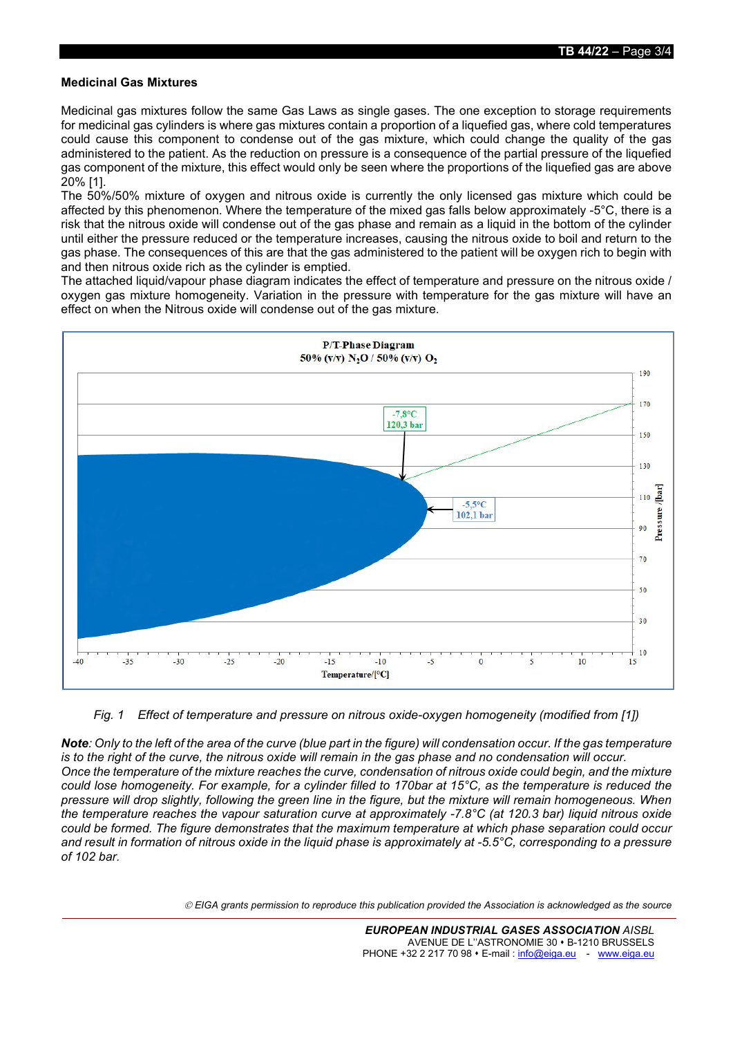#### **Medicinal Gas Mixtures**

Medicinal gas mixtures follow the same Gas Laws as single gases. The one exception to storage requirements for medicinal gas cylinders is where gas mixtures contain a proportion of a liquefied gas, where cold temperatures could cause this component to condense out of the gas mixture, which could change the quality of the gas administered to the patient. As the reduction on pressure is a consequence of the partial pressure of the liquefied gas component of the mixture, this effect would only be seen where the proportions of the liquefied gas are above 20% [1].

The 50%/50% mixture of oxygen and nitrous oxide is currently the only licensed gas mixture which could be affected by this phenomenon. Where the temperature of the mixed gas falls below approximately -5°C, there is a risk that the nitrous oxide will condense out of the gas phase and remain as a liquid in the bottom of the cylinder until either the pressure reduced or the temperature increases, causing the nitrous oxide to boil and return to the gas phase. The consequences of this are that the gas administered to the patient will be oxygen rich to begin with and then nitrous oxide rich as the cylinder is emptied.

The attached liquid/vapour phase diagram indicates the effect of temperature and pressure on the nitrous oxide / oxygen gas mixture homogeneity. Variation in the pressure with temperature for the gas mixture will have an effect on when the Nitrous oxide will condense out of the gas mixture.



#### *Fig. 1 Effect of temperature and pressure on nitrous oxide-oxygen homogeneity (modified from [1])*

*Note: Only to the left of the area of the curve (blue part in the figure) will condensation occur. If the gas temperature is to the right of the curve, the nitrous oxide will remain in the gas phase and no condensation will occur. Once the temperature of the mixture reaches the curve, condensation of nitrous oxide could begin, and the mixture could lose homogeneity. For example, for a cylinder filled to 170bar at 15°C, as the temperature is reduced the pressure will drop slightly, following the green line in the figure, but the mixture will remain homogeneous. When the temperature reaches the vapour saturation curve at approximately -7.8°C (at 120.3 bar) liquid nitrous oxide could be formed. The figure demonstrates that the maximum temperature at which phase separation could occur and result in formation of nitrous oxide in the liquid phase is approximately at -5.5°C, corresponding to a pressure of 102 bar.*

*EIGA grants permission to reproduce this publication provided the Association is acknowledged as the source*